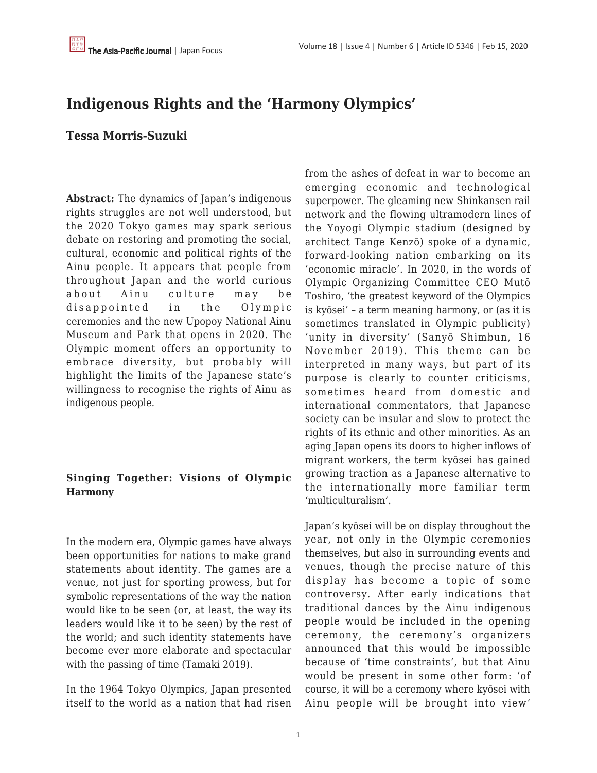# **Indigenous Rights and the 'Harmony Olympics'**

# **Tessa Morris-Suzuki**

**Abstract:** The dynamics of Japan's indigenous rights struggles are not well understood, but the 2020 Tokyo games may spark serious debate on restoring and promoting the social, cultural, economic and political rights of the Ainu people. It appears that people from throughout Japan and the world curious about Ainu culture may be disappointed in the Olympic ceremonies and the new Upopoy National Ainu Museum and Park that opens in 2020. The Olympic moment offers an opportunity to embrace diversity, but probably will highlight the limits of the Japanese state's willingness to recognise the rights of Ainu as indigenous people.

## **Singing Together: Visions of Olympic Harmony**

In the modern era, Olympic games have always been opportunities for nations to make grand statements about identity. The games are a venue, not just for sporting prowess, but for symbolic representations of the way the nation would like to be seen (or, at least, the way its leaders would like it to be seen) by the rest of the world; and such identity statements have become ever more elaborate and spectacular with the passing of time (Tamaki 2019).

In the 1964 Tokyo Olympics, Japan presented itself to the world as a nation that had risen from the ashes of defeat in war to become an emerging economic and technological superpower. The gleaming new Shinkansen rail network and the flowing ultramodern lines of the Yoyogi Olympic stadium (designed by architect Tange Kenzō) spoke of a dynamic, forward-looking nation embarking on its 'economic miracle'. In 2020, in the words of Olympic Organizing Committee CEO Mutō Toshiro, 'the greatest keyword of the Olympics is kyōsei' – a term meaning harmony, or (as it is sometimes translated in Olympic publicity) 'unity in diversity' (Sanyō Shimbun, 16 November 2019). This theme can be interpreted in many ways, but part of its purpose is clearly to counter criticisms, sometimes heard from domestic and international commentators, that Japanese society can be insular and slow to protect the rights of its ethnic and other minorities. As an aging Japan opens its doors to higher inflows of migrant workers, the term kyōsei has gained growing traction as a Japanese alternative to the internationally more familiar term 'multiculturalism'.

Japan's kyōsei will be on display throughout the year, not only in the Olympic ceremonies themselves, but also in surrounding events and venues, though the precise nature of this display has become a topic of some controversy. After early indications that traditional dances by the Ainu indigenous people would be included in the opening ceremony, the ceremony's organizers announced that this would be impossible because of 'time constraints', but that Ainu would be present in some other form: 'of course, it will be a ceremony where kyōsei with Ainu people will be brought into view'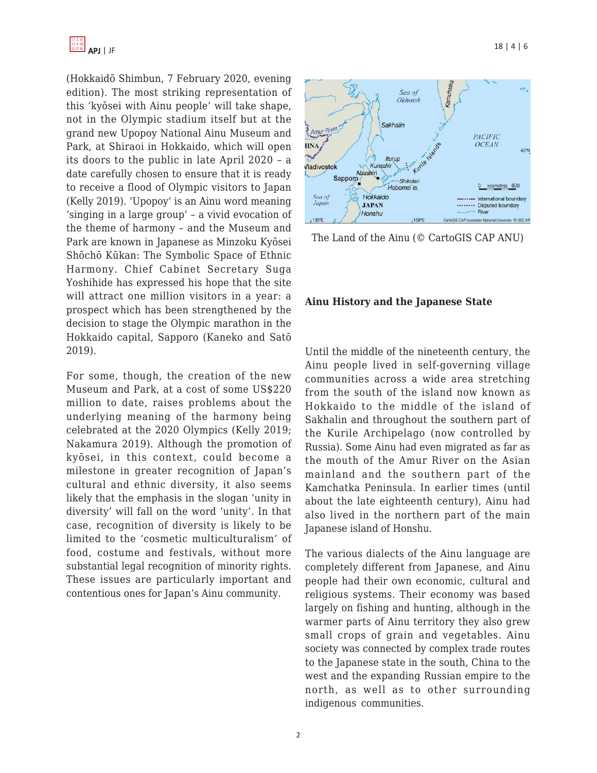(Hokkaidō Shimbun, 7 February 2020, evening edition). The most striking representation of this 'kyōsei with Ainu people' will take shape, not in the Olympic stadium itself but at the grand new Upopoy National Ainu Museum and Park, at Shiraoi in Hokkaido, which will open its doors to the public in late April 2020 – a date carefully chosen to ensure that it is ready to receive a flood of Olympic visitors to Japan (Kelly 2019). 'Upopoy' is an Ainu word meaning 'singing in a large group' – a vivid evocation of the theme of harmony – and the Museum and Park are known in Japanese as Minzoku Kyōsei Shōchō Kūkan: The Symbolic Space of Ethnic Harmony. Chief Cabinet Secretary Suga Yoshihide has expressed his hope that the site will attract one million visitors in a year: a prospect which has been strengthened by the decision to stage the Olympic marathon in the Hokkaido capital, Sapporo (Kaneko and Satō 2019).

For some, though, the creation of the new Museum and Park, at a cost of some US\$220 million to date, raises problems about the underlying meaning of the harmony being celebrated at the 2020 Olympics (Kelly 2019; Nakamura 2019). Although the promotion of kyōsei, in this context, could become a milestone in greater recognition of Japan's cultural and ethnic diversity, it also seems likely that the emphasis in the slogan 'unity in diversity' will fall on the word 'unity'. In that case, recognition of diversity is likely to be limited to the 'cosmetic multiculturalism' of food, costume and festivals, without more substantial legal recognition of minority rights. These issues are particularly important and contentious ones for Japan's Ainu community.



The Land of the Ainu (© CartoGIS CAP ANU)

#### **Ainu History and the Japanese State**

Until the middle of the nineteenth century, the Ainu people lived in self-governing village communities across a wide area stretching from the south of the island now known as Hokkaido to the middle of the island of Sakhalin and throughout the southern part of the Kurile Archipelago (now controlled by Russia). Some Ainu had even migrated as far as the mouth of the Amur River on the Asian mainland and the southern part of the Kamchatka Peninsula. In earlier times (until about the late eighteenth century), Ainu had also lived in the northern part of the main Japanese island of Honshu.

The various dialects of the Ainu language are completely different from Japanese, and Ainu people had their own economic, cultural and religious systems. Their economy was based largely on fishing and hunting, although in the warmer parts of Ainu territory they also grew small crops of grain and vegetables. Ainu society was connected by complex trade routes to the Japanese state in the south, China to the west and the expanding Russian empire to the north, as well as to other surrounding indigenous communities.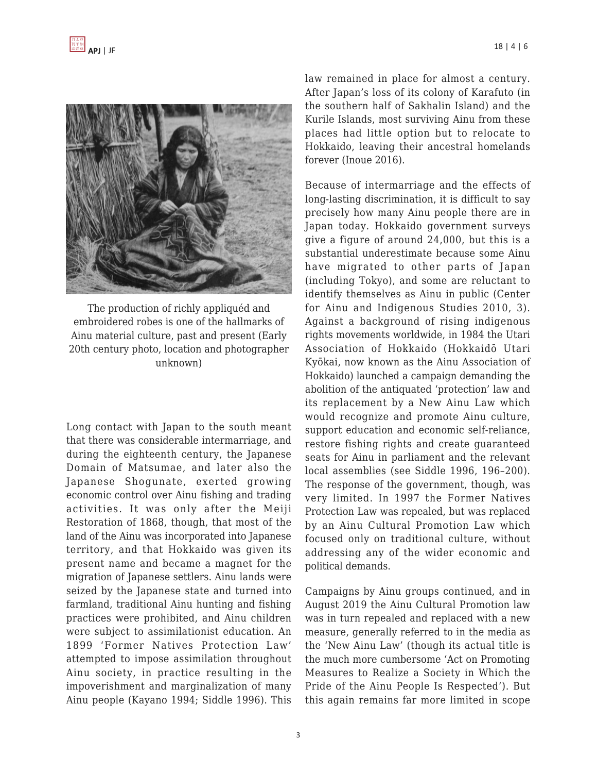

The production of richly appliquéd and embroidered robes is one of the hallmarks of Ainu material culture, past and present (Early 20th century photo, location and photographer unknown)

Long contact with Japan to the south meant that there was considerable intermarriage, and during the eighteenth century, the Japanese Domain of Matsumae, and later also the Japanese Shogunate, exerted growing economic control over Ainu fishing and trading activities. It was only after the Meiji Restoration of 1868, though, that most of the land of the Ainu was incorporated into Japanese territory, and that Hokkaido was given its present name and became a magnet for the migration of Japanese settlers. Ainu lands were seized by the Japanese state and turned into farmland, traditional Ainu hunting and fishing practices were prohibited, and Ainu children were subject to assimilationist education. An 1899 'Former Natives Protection Law' attempted to impose assimilation throughout Ainu society, in practice resulting in the impoverishment and marginalization of many Ainu people (Kayano 1994; Siddle 1996). This law remained in place for almost a century. After Japan's loss of its colony of Karafuto (in the southern half of Sakhalin Island) and the Kurile Islands, most surviving Ainu from these places had little option but to relocate to Hokkaido, leaving their ancestral homelands forever (Inoue 2016).

Because of intermarriage and the effects of long-lasting discrimination, it is difficult to say precisely how many Ainu people there are in Japan today. Hokkaido government surveys give a figure of around 24,000, but this is a substantial underestimate because some Ainu have migrated to other parts of Japan (including Tokyo), and some are reluctant to identify themselves as Ainu in public (Center for Ainu and Indigenous Studies 2010, 3). Against a background of rising indigenous rights movements worldwide, in 1984 the Utari Association of Hokkaido (Hokkaidō Utari Kyōkai, now known as the Ainu Association of Hokkaido) launched a campaign demanding the abolition of the antiquated 'protection' law and its replacement by a New Ainu Law which would recognize and promote Ainu culture, support education and economic self-reliance, restore fishing rights and create guaranteed seats for Ainu in parliament and the relevant local assemblies (see Siddle 1996, 196–200). The response of the government, though, was very limited. In 1997 the Former Natives Protection Law was repealed, but was replaced by an Ainu Cultural Promotion Law which focused only on traditional culture, without addressing any of the wider economic and political demands.

Campaigns by Ainu groups continued, and in August 2019 the Ainu Cultural Promotion law was in turn repealed and replaced with a new measure, generally referred to in the media as the 'New Ainu Law' (though its actual title is the much more cumbersome 'Act on Promoting Measures to Realize a Society in Which the Pride of the Ainu People Is Respected'). But this again remains far more limited in scope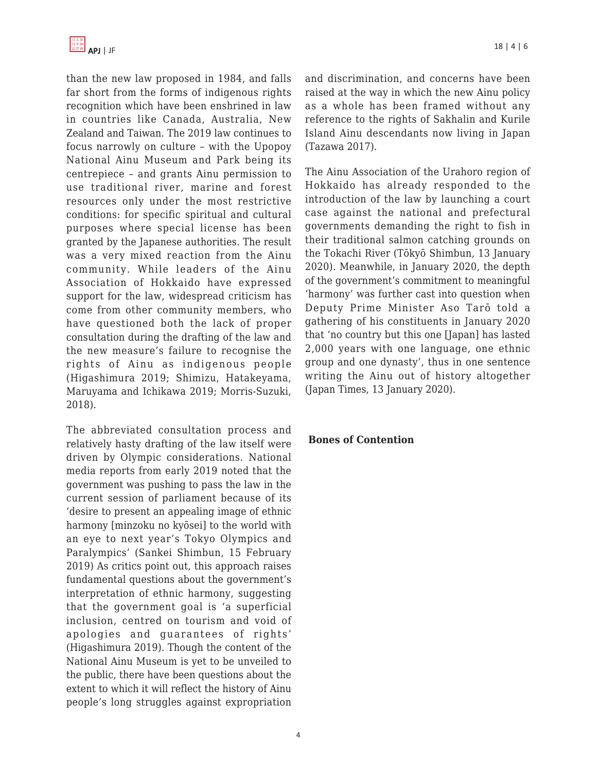

than the new law proposed in 1984, and falls far short from the forms of indigenous rights recognition which have been enshrined in law in countries like Canada, Australia, New Zealand and Taiwan. The 2019 law continues to focus narrowly on culture – with the Upopoy National Ainu Museum and Park being its centrepiece – and grants Ainu permission to use traditional river, marine and forest resources only under the most restrictive conditions: for specific spiritual and cultural purposes where special license has been granted by the Japanese authorities. The result was a very mixed reaction from the Ainu community. While leaders of the Ainu Association of Hokkaido have expressed support for the law, widespread criticism has come from other community members, who have questioned both the lack of proper consultation during the drafting of the law and the new measure's failure to recognise the rights of Ainu as indigenous people (Higashimura 2019; Shimizu, Hatakeyama, Maruyama and Ichikawa 2019; Morris-Suzuki, 2018).

The abbreviated consultation process and relatively hasty drafting of the law itself were driven by Olympic considerations. National media reports from early 2019 noted that the government was pushing to pass the law in the current session of parliament because of its 'desire to present an appealing image of ethnic harmony [minzoku no kyōsei] to the world with an eye to next year's Tokyo Olympics and Paralympics' (Sankei Shimbun, 15 February 2019) As critics point out, this approach raises fundamental questions about the government's interpretation of ethnic harmony, suggesting that the government goal is 'a superficial inclusion, centred on tourism and void of apologies and guarantees of rights' (Higashimura 2019). Though the content of the National Ainu Museum is yet to be unveiled to the public, there have been questions about the extent to which it will reflect the history of Ainu people's long struggles against expropriation and discrimination, and concerns have been raised at the way in which the new Ainu policy as a whole has been framed without any reference to the rights of Sakhalin and Kurile Island Ainu descendants now living in Japan (Tazawa 2017).

The Ainu Association of the Urahoro region of Hokkaido has already responded to the introduction of the law by launching a court case against the national and prefectural governments demanding the right to fish in their traditional salmon catching grounds on the Tokachi River (Tōkyō Shimbun, 13 January 2020). Meanwhile, in January 2020, the depth of the government's commitment to meaningful 'harmony' was further cast into question when Deputy Prime Minister Aso Tarō told a gathering of his constituents in January 2020 that 'no country but this one [Japan] has lasted 2,000 years with one language, one ethnic group and one dynasty', thus in one sentence writing the Ainu out of history altogether (Japan Times, 13 January 2020).

#### **Bones of Contention**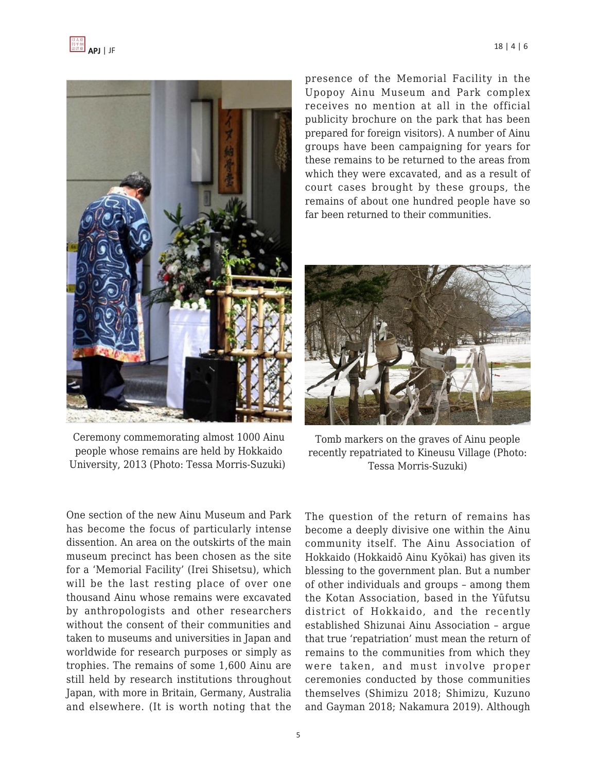



Ceremony commemorating almost 1000 Ainu people whose remains are held by Hokkaido University, 2013 (Photo: Tessa Morris-Suzuki)

presence of the Memorial Facility in the Upopoy Ainu Museum and Park complex receives no mention at all in the official publicity brochure on the park that has been prepared for foreign visitors). A number of Ainu groups have been campaigning for years for these remains to be returned to the areas from which they were excavated, and as a result of court cases brought by these groups, the remains of about one hundred people have so far been returned to their communities.



Tomb markers on the graves of Ainu people recently repatriated to Kineusu Village (Photo: Tessa Morris-Suzuki)

One section of the new Ainu Museum and Park has become the focus of particularly intense dissention. An area on the outskirts of the main museum precinct has been chosen as the site for a 'Memorial Facility' (Irei Shisetsu), which will be the last resting place of over one thousand Ainu whose remains were excavated by anthropologists and other researchers without the consent of their communities and taken to museums and universities in Japan and worldwide for research purposes or simply as trophies. The remains of some 1,600 Ainu are still held by research institutions throughout Japan, with more in Britain, Germany, Australia and elsewhere. (It is worth noting that the

The question of the return of remains has become a deeply divisive one within the Ainu community itself. The Ainu Association of Hokkaido (Hokkaidō Ainu Kyōkai) has given its blessing to the government plan. But a number of other individuals and groups – among them the Kotan Association, based in the Yūfutsu district of Hokkaido, and the recently established Shizunai Ainu Association – argue that true 'repatriation' must mean the return of remains to the communities from which they were taken, and must involve proper ceremonies conducted by those communities themselves (Shimizu 2018; Shimizu, Kuzuno and Gayman 2018; Nakamura 2019). Although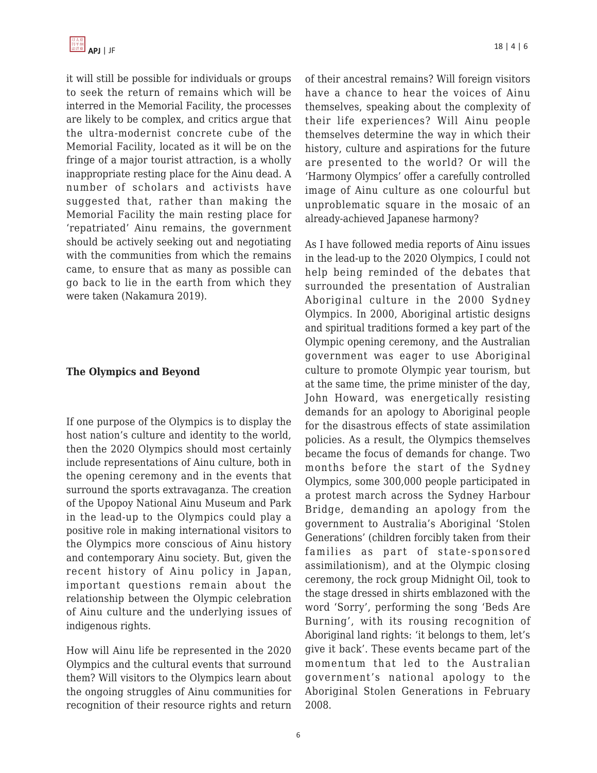it will still be possible for individuals or groups to seek the return of remains which will be interred in the Memorial Facility, the processes are likely to be complex, and critics argue that the ultra-modernist concrete cube of the Memorial Facility, located as it will be on the fringe of a major tourist attraction, is a wholly inappropriate resting place for the Ainu dead. A number of scholars and activists have suggested that, rather than making the Memorial Facility the main resting place for 'repatriated' Ainu remains, the government should be actively seeking out and negotiating with the communities from which the remains came, to ensure that as many as possible can go back to lie in the earth from which they were taken (Nakamura 2019).

## **The Olympics and Beyond**

If one purpose of the Olympics is to display the host nation's culture and identity to the world, then the 2020 Olympics should most certainly include representations of Ainu culture, both in the opening ceremony and in the events that surround the sports extravaganza. The creation of the Upopoy National Ainu Museum and Park in the lead-up to the Olympics could play a positive role in making international visitors to the Olympics more conscious of Ainu history and contemporary Ainu society. But, given the recent history of Ainu policy in Japan, important questions remain about the relationship between the Olympic celebration of Ainu culture and the underlying issues of indigenous rights.

How will Ainu life be represented in the 2020 Olympics and the cultural events that surround them? Will visitors to the Olympics learn about the ongoing struggles of Ainu communities for recognition of their resource rights and return of their ancestral remains? Will foreign visitors have a chance to hear the voices of Ainu themselves, speaking about the complexity of their life experiences? Will Ainu people themselves determine the way in which their history, culture and aspirations for the future are presented to the world? Or will the 'Harmony Olympics' offer a carefully controlled image of Ainu culture as one colourful but unproblematic square in the mosaic of an already-achieved Japanese harmony?

As I have followed media reports of Ainu issues in the lead-up to the 2020 Olympics, I could not help being reminded of the debates that surrounded the presentation of Australian Aboriginal culture in the 2000 Sydney Olympics. In 2000, Aboriginal artistic designs and spiritual traditions formed a key part of the Olympic opening ceremony, and the Australian government was eager to use Aboriginal culture to promote Olympic year tourism, but at the same time, the prime minister of the day, John Howard, was energetically resisting demands for an apology to Aboriginal people for the disastrous effects of state assimilation policies. As a result, the Olympics themselves became the focus of demands for change. Two months before the start of the Sydney Olympics, some 300,000 people participated in a protest march across the Sydney Harbour Bridge, demanding an apology from the government to Australia's Aboriginal 'Stolen Generations' (children forcibly taken from their families as part of state-sponsored assimilationism), and at the Olympic closing ceremony, the rock group Midnight Oil, took to the stage dressed in shirts emblazoned with the word 'Sorry', performing the song 'Beds Are Burning', with its rousing recognition of Aboriginal land rights: 'it belongs to them, let's give it back'. These events became part of the momentum that led to the Australian government's national apology to the Aboriginal Stolen Generations in February 2008.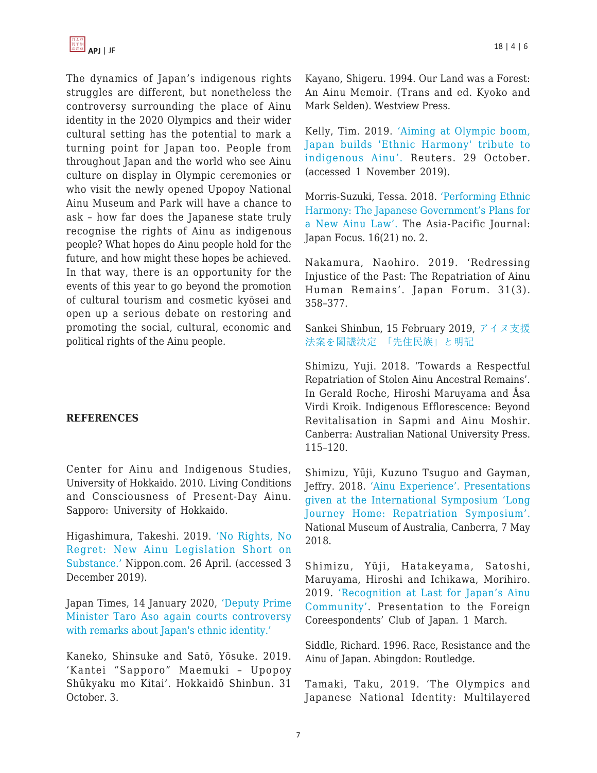The dynamics of Japan's indigenous rights struggles are different, but nonetheless the controversy surrounding the place of Ainu identity in the 2020 Olympics and their wider cultural setting has the potential to mark a turning point for Japan too. People from throughout Japan and the world who see Ainu culture on display in Olympic ceremonies or who visit the newly opened Upopoy National Ainu Museum and Park will have a chance to ask – how far does the Japanese state truly recognise the rights of Ainu as indigenous people? What hopes do Ainu people hold for the future, and how might these hopes be achieved. In that way, there is an opportunity for the events of this year to go beyond the promotion of cultural tourism and cosmetic kyōsei and open up a serious debate on restoring and promoting the social, cultural, economic and political rights of the Ainu people.

### **REFERENCES**

Center for Ainu and Indigenous Studies, University of Hokkaido. 2010. Living Conditions and Consciousness of Present-Day Ainu. Sapporo: University of Hokkaido.

Higashimura, Takeshi. 2019. ['No Rights, No](https://www.nippon.com/en/in-depth/d00479/no-rights-no-regret-new-ainu-legislation-short-on-substance.html) [Regret: New Ainu Legislation Short on](https://www.nippon.com/en/in-depth/d00479/no-rights-no-regret-new-ainu-legislation-short-on-substance.html) [Substance.'](https://www.nippon.com/en/in-depth/d00479/no-rights-no-regret-new-ainu-legislation-short-on-substance.html) Nippon.com. 26 April. (accessed 3 December 2019).

Japan Times, 14 January 2020[, 'Deputy Prime](https://www.japantimes.co.jp/news/2020/01/14/national/politics-diplomacy/taro-aso-again-controversy-remarks-japan-ethnic-identity) [Minister Taro Aso again courts controversy](https://www.japantimes.co.jp/news/2020/01/14/national/politics-diplomacy/taro-aso-again-controversy-remarks-japan-ethnic-identity) [with remarks about Japan's ethnic identity.'](https://www.japantimes.co.jp/news/2020/01/14/national/politics-diplomacy/taro-aso-again-controversy-remarks-japan-ethnic-identity)

Kaneko, Shinsuke and Satō, Yōsuke. 2019. 'Kantei "Sapporo" Maemuki – Upopoy Shūkyaku mo Kitai'. Hokkaidō Shinbun. 31 October. 3.

Kayano, Shigeru. 1994. Our Land was a Forest: An Ainu Memoir. (Trans and ed. Kyoko and Mark Selden). Westview Press.

Kelly, Tim. 2019. ['Aiming at Olympic boom,](https://www.reuters.com/article/us-japan-ainu-widerimage/aiming-at-olympic-boom-japan-builds-ethnic-harmony-tribute-to-indigenous-ainu-idUSKBN1X72C7) [Japan builds 'Ethnic Harmony' tribute to](https://www.reuters.com/article/us-japan-ainu-widerimage/aiming-at-olympic-boom-japan-builds-ethnic-harmony-tribute-to-indigenous-ainu-idUSKBN1X72C7) [indigenous Ainu'.](https://www.reuters.com/article/us-japan-ainu-widerimage/aiming-at-olympic-boom-japan-builds-ethnic-harmony-tribute-to-indigenous-ainu-idUSKBN1X72C7) Reuters. 29 October. (accessed 1 November 2019).

Morris-Suzuki, Tessa. 2018. ['Performing Ethnic](https://apjjf.org/2018/21/Morris-Suzuki.html) [Harmony: The Japanese Government's Plans for](https://apjjf.org/2018/21/Morris-Suzuki.html) [a New Ainu Law'.](https://apjjf.org/2018/21/Morris-Suzuki.html) The Asia-Pacific Journal: Japan Focus. 16(21) no. 2.

Nakamura, Naohiro. 2019. 'Redressing Injustice of the Past: The Repatriation of Ainu Human Remains'. Japan Forum. 31(3). 358–377.

Sankei Shinbun, 15 February 2019, [アイヌ支援](https://www.sankei.com/politics/news/190215/plt1902150020-n1.html) [法案を閣議決定](https://www.sankei.com/politics/news/190215/plt1902150020-n1.html) [「](https://www.sankei.com/politics/news/190215/plt1902150020-n1.html)[先住民族](https://www.sankei.com/politics/news/190215/plt1902150020-n1.html)[」](https://www.sankei.com/politics/news/190215/plt1902150020-n1.html)[と明記](https://www.sankei.com/politics/news/190215/plt1902150020-n1.html)

Shimizu, Yuji. 2018. 'Towards a Respectful Repatriation of Stolen Ainu Ancestral Remains'. In Gerald Roche, Hiroshi Maruyama and Åsa Virdi Kroik. Indigenous Efflorescence: Beyond Revitalisation in Sapmi and Ainu Moshir. Canberra: Australian National University Press. 115–120.

Shimizu, Yūji, Kuzuno Tsuguo and Gayman, Jeffry. 2018. ['Ainu Experience'. Presentations](https://www.nma.gov.au/audio/long-journey-home-repatriation-symposium/ainu-experience-interpretation-by-jeffry-gayman) [given at the International Symposium 'Long](https://www.nma.gov.au/audio/long-journey-home-repatriation-symposium/ainu-experience-interpretation-by-jeffry-gayman) [Journey Home: Repatriation Symposium'.](https://www.nma.gov.au/audio/long-journey-home-repatriation-symposium/ainu-experience-interpretation-by-jeffry-gayman) National Museum of Australia, Canberra, 7 May 2018.

Shimizu, Yūji, Hatakeyama, Satoshi, Maruyama, Hiroshi and Ichikawa, Morihiro. 2019. ['Recognition at Last for Japan's Ainu](https://www.youtube.com/watch?v=p8fff2pu-9s) [Community'](https://www.youtube.com/watch?v=p8fff2pu-9s). Presentation to the Foreign Coreespondents' Club of Japan. 1 March.

Siddle, Richard. 1996. Race, Resistance and the Ainu of Japan. Abingdon: Routledge.

Tamaki, Taku, 2019. 'The Olympics and Japanese National Identity: Multilayered